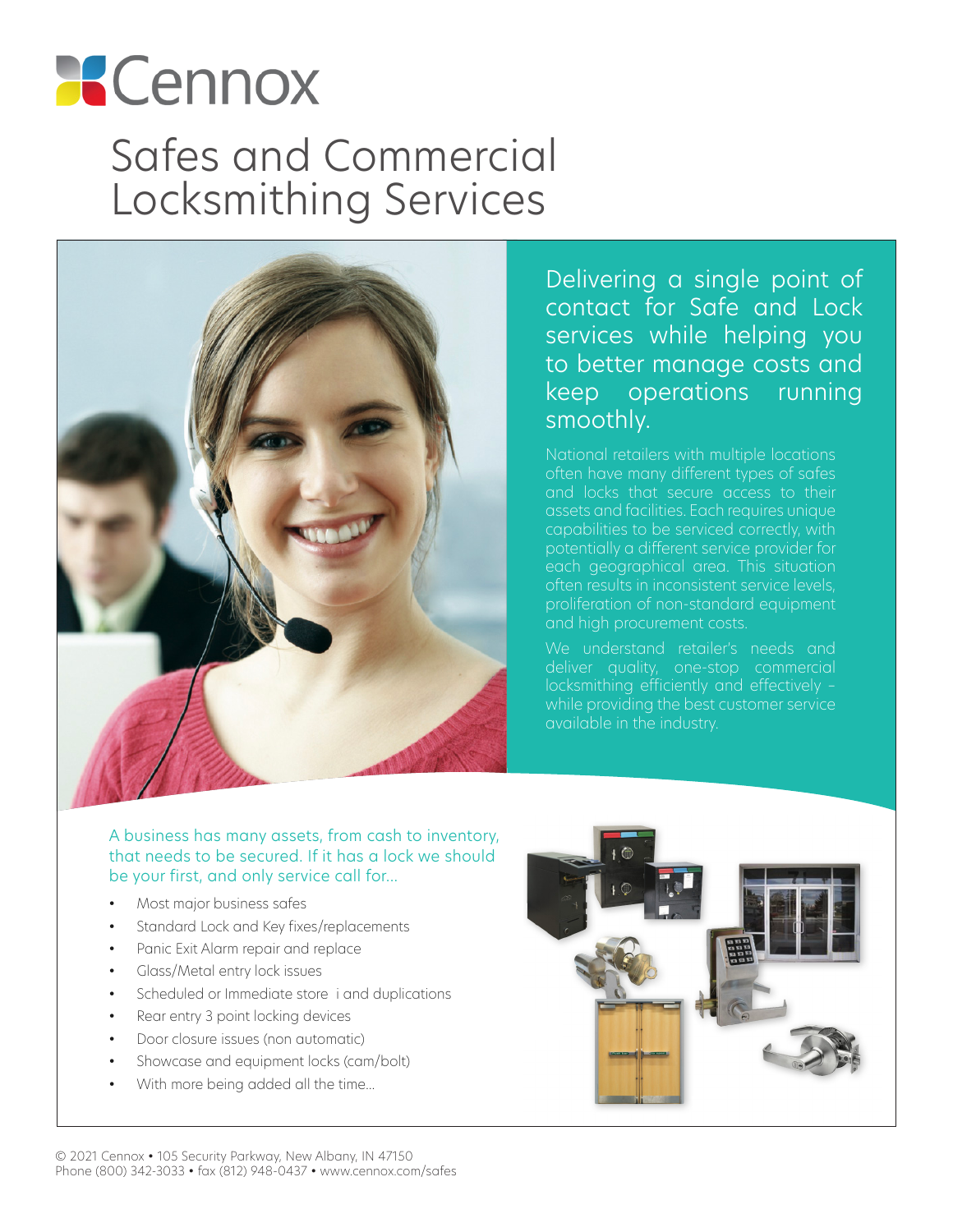# **Cennox** Safes and Commercial Locksmithing Services



Delivering a single point of contact for Safe and Lock services while helping you to better manage costs and keep operations running smoothly.

National retailers with multiple locations often have many different types of safes and locks that secure access to their assets and facilities. Each requires unique capabilities to be serviced correctly, with potentially a different service provider for each geographical area. This situation often results in inconsistent service levels, proliferation of non-standard equipment and high procurement costs.

We understand retailer's needs and locksmithing efficiently and effectively – while providing the best customer service available in the industry.

### A business has many assets, from cash to inventory, that needs to be secured. If it has a lock we should be your first, and only service call for...

- Most major business safes
- Standard Lock and Key fixes/replacements
- Panic Exit Alarm repair and replace
- Glass/Metal entry lock issues
- Scheduled or Immediate store i and duplications
- Rear entry 3 point locking devices
- Door closure issues (non automatic)
- Showcase and equipment locks (cam/bolt)
- With more being added all the time...